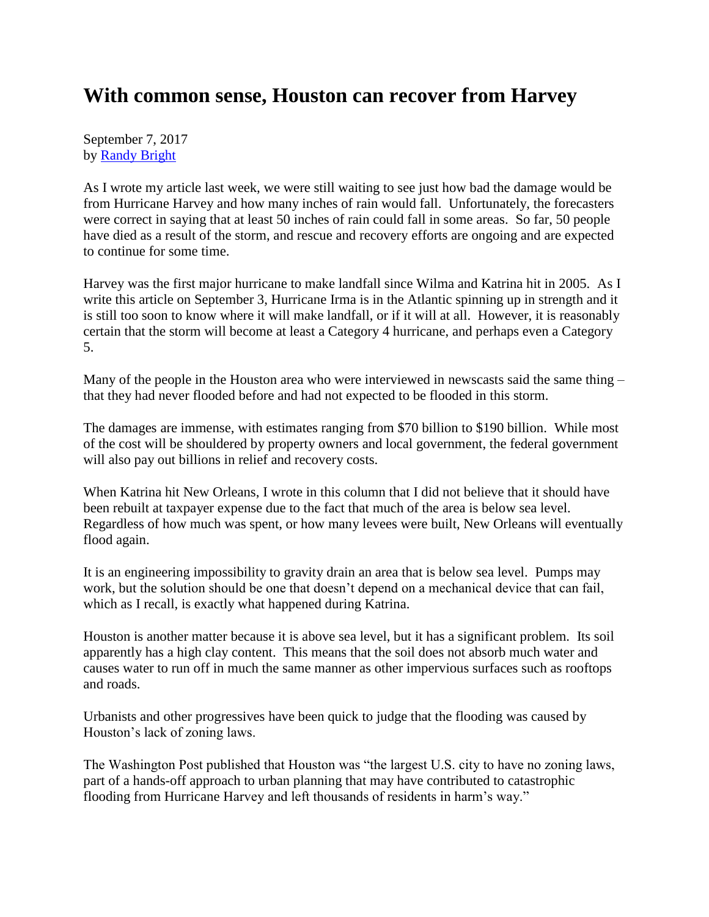## **With common sense, Houston can recover from Harvey**

September 7, 2017 by [Randy Bright](http://tulsabeacon.com/writers/randy-bright/)

As I wrote my article last week, we were still waiting to see just how bad the damage would be from Hurricane Harvey and how many inches of rain would fall. Unfortunately, the forecasters were correct in saying that at least 50 inches of rain could fall in some areas. So far, 50 people have died as a result of the storm, and rescue and recovery efforts are ongoing and are expected to continue for some time.

Harvey was the first major hurricane to make landfall since Wilma and Katrina hit in 2005. As I write this article on September 3, Hurricane Irma is in the Atlantic spinning up in strength and it is still too soon to know where it will make landfall, or if it will at all. However, it is reasonably certain that the storm will become at least a Category 4 hurricane, and perhaps even a Category 5.

Many of the people in the Houston area who were interviewed in newscasts said the same thing – that they had never flooded before and had not expected to be flooded in this storm.

The damages are immense, with estimates ranging from \$70 billion to \$190 billion. While most of the cost will be shouldered by property owners and local government, the federal government will also pay out billions in relief and recovery costs.

When Katrina hit New Orleans, I wrote in this column that I did not believe that it should have been rebuilt at taxpayer expense due to the fact that much of the area is below sea level. Regardless of how much was spent, or how many levees were built, New Orleans will eventually flood again.

It is an engineering impossibility to gravity drain an area that is below sea level. Pumps may work, but the solution should be one that doesn't depend on a mechanical device that can fail, which as I recall, is exactly what happened during Katrina.

Houston is another matter because it is above sea level, but it has a significant problem. Its soil apparently has a high clay content. This means that the soil does not absorb much water and causes water to run off in much the same manner as other impervious surfaces such as rooftops and roads.

Urbanists and other progressives have been quick to judge that the flooding was caused by Houston's lack of zoning laws.

The Washington Post published that Houston was "the largest U.S. city to have no zoning laws, part of a hands-off approach to urban planning that may have contributed to catastrophic flooding from Hurricane Harvey and left thousands of residents in harm's way."